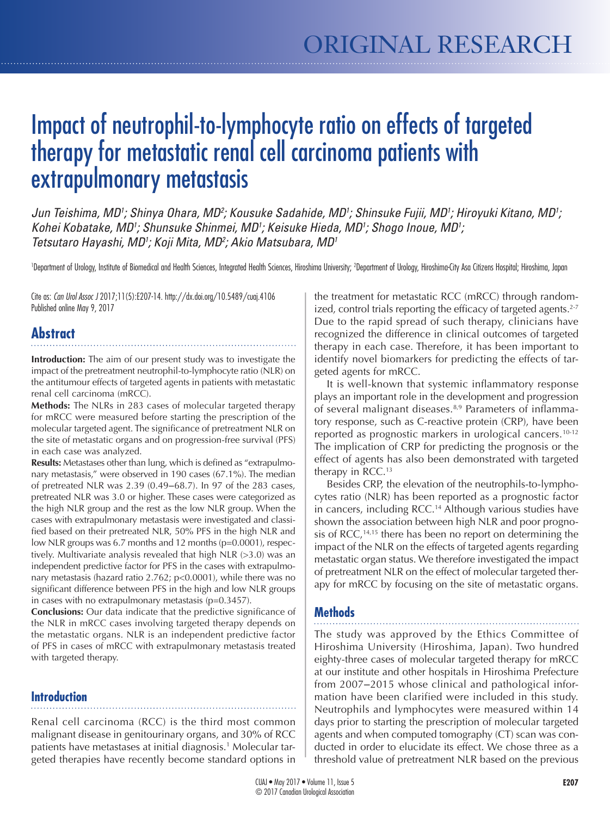# Impact of neutrophil-to-lymphocyte ratio on effects of targeted therapy for metastatic renal cell carcinoma patients with extrapulmonary metastasis

Jun Teishima, MD<sup>1</sup>; Shinya Ohara, MD<sup>2</sup>; Kousuke Sadahide, MD<sup>1</sup>; Shinsuke Fujii, MD<sup>1</sup>; Hiroyuki Kitano, MD<sup>1</sup>; Kohei Kobatake, MD<sup>1</sup>; Shunsuke Shinmei, MD<sup>1</sup>; Keisuke Hieda, MD<sup>1</sup>; Shogo Inoue, MD<sup>1</sup>; *Tetsutaro Hayashi, MD1 ; Koji Mita, MD2 ; Akio Matsubara, MD1*

'Department of Urology, Institute of Biomedical and Health Sciences, Integrated Health Sciences, Hiroshima University; 2Department of Urology, Hiroshima-City Asa Citizens Hospital; Hiroshima, Japan

Cite as: *Can Urol Assoc J* 2017;11(5):E207-14. http://dx.doi.org/10.5489/cuaj.4106 Published online May 9, 2017

## **Abstract**

**Introduction:** The aim of our present study was to investigate the impact of the pretreatment neutrophil-to-lymphocyte ratio (NLR) on the antitumour effects of targeted agents in patients with metastatic renal cell carcinoma (mRCC).

**Methods:** The NLRs in 283 cases of molecular targeted therapy for mRCC were measured before starting the prescription of the molecular targeted agent. The significance of pretreatment NLR on the site of metastatic organs and on progression-free survival (PFS) in each case was analyzed.

**Results:** Metastases other than lung, which is defined as "extrapulmonary metastasis," were observed in 190 cases (67.1%). The median of pretreated NLR was 2.39 (0.49–68.7). In 97 of the 283 cases, pretreated NLR was 3.0 or higher. These cases were categorized as the high NLR group and the rest as the low NLR group. When the cases with extrapulmonary metastasis were investigated and classified based on their pretreated NLR, 50% PFS in the high NLR and low NLR groups was 6.7 months and 12 months (p=0.0001), respectively. Multivariate analysis revealed that high NLR (>3.0) was an independent predictive factor for PFS in the cases with extrapulmonary metastasis (hazard ratio 2.762; p<0.0001), while there was no significant difference between PFS in the high and low NLR groups in cases with no extrapulmonary metastasis (p=0.3457).

**Conclusions:** Our data indicate that the predictive significance of the NLR in mRCC cases involving targeted therapy depends on the metastatic organs. NLR is an independent predictive factor of PFS in cases of mRCC with extrapulmonary metastasis treated with targeted therapy.

## **Introduction**

Renal cell carcinoma (RCC) is the third most common malignant disease in genitourinary organs, and 30% of RCC patients have metastases at initial diagnosis.1 Molecular targeted therapies have recently become standard options in the treatment for metastatic RCC (mRCC) through randomized, control trials reporting the efficacy of targeted agents. $2-7$ Due to the rapid spread of such therapy, clinicians have recognized the difference in clinical outcomes of targeted therapy in each case. Therefore, it has been important to identify novel biomarkers for predicting the effects of targeted agents for mRCC.

It is well-known that systemic inflammatory response plays an important role in the development and progression of several malignant diseases.<sup>8,9</sup> Parameters of inflammatory response, such as C-reactive protein (CRP), have been reported as prognostic markers in urological cancers.10-12 The implication of CRP for predicting the prognosis or the effect of agents has also been demonstrated with targeted therapy in RCC.<sup>13</sup>

Besides CRP, the elevation of the neutrophils-to-lymphocytes ratio (NLR) has been reported as a prognostic factor in cancers, including RCC.<sup>14</sup> Although various studies have shown the association between high NLR and poor prognosis of RCC,<sup>14,15</sup> there has been no report on determining the impact of the NLR on the effects of targeted agents regarding metastatic organ status. We therefore investigated the impact of pretreatment NLR on the effect of molecular targeted therapy for mRCC by focusing on the site of metastatic organs.

## **Methods**

The study was approved by the Ethics Committee of Hiroshima University (Hiroshima, Japan). Two hundred eighty-three cases of molecular targeted therapy for mRCC at our institute and other hospitals in Hiroshima Prefecture from 2007–2015 whose clinical and pathological information have been clarified were included in this study. Neutrophils and lymphocytes were measured within 14 days prior to starting the prescription of molecular targeted agents and when computed tomography (CT) scan was conducted in order to elucidate its effect. We chose three as a threshold value of pretreatment NLR based on the previous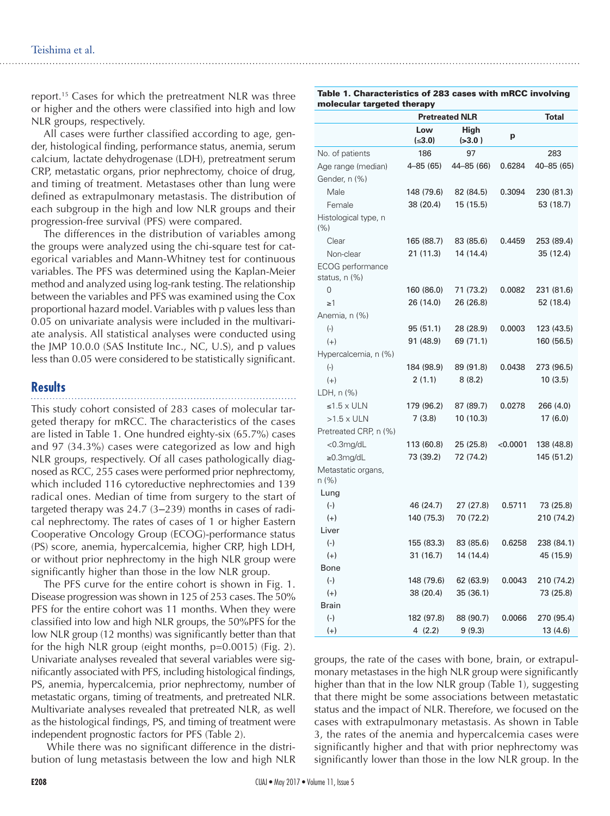report.15 Cases for which the pretreatment NLR was three or higher and the others were classified into high and low NLR groups, respectively.

All cases were further classified according to age, gender, histological finding, performance status, anemia, serum calcium, lactate dehydrogenase (LDH), pretreatment serum CRP, metastatic organs, prior nephrectomy, choice of drug, and timing of treatment. Metastases other than lung were defined as extrapulmonary metastasis. The distribution of each subgroup in the high and low NLR groups and their progression-free survival (PFS) were compared.

The differences in the distribution of variables among the groups were analyzed using the chi-square test for categorical variables and Mann-Whitney test for continuous variables. The PFS was determined using the Kaplan-Meier method and analyzed using log-rank testing. The relationship between the variables and PFS was examined using the Cox proportional hazard model. Variables with p values less than 0.05 on univariate analysis were included in the multivariate analysis. All statistical analyses were conducted using the JMP 10.0.0 (SAS Institute Inc., NC, U.S), and p values less than 0.05 were considered to be statistically significant.

## **Results**

This study cohort consisted of 283 cases of molecular targeted therapy for mRCC. The characteristics of the cases are listed in Table 1. One hundred eighty-six (65.7%) cases and 97 (34.3%) cases were categorized as low and high NLR groups, respectively. Of all cases pathologically diagnosed as RCC, 255 cases were performed prior nephrectomy, which included 116 cytoreductive nephrectomies and 139 radical ones. Median of time from surgery to the start of targeted therapy was  $24.7$  ( $3-239$ ) months in cases of radical nephrectomy. The rates of cases of 1 or higher Eastern Cooperative Oncology Group (ECOG)-performance status (PS) score, anemia, hypercalcemia, higher CRP, high LDH, or without prior nephrectomy in the high NLR group were significantly higher than those in the low NLR group.

The PFS curve for the entire cohort is shown in Fig. 1. Disease progression was shown in 125 of 253 cases. The 50% PFS for the entire cohort was 11 months. When they were classified into low and high NLR groups, the 50%PFS for the low NLR group (12 months) was significantly better than that for the high NLR group (eight months, p=0.0015) (Fig. 2). Univariate analyses revealed that several variables were significantly associated with PFS, including histological findings, PS, anemia, hypercalcemia, prior nephrectomy, number of metastatic organs, timing of treatments, and pretreated NLR. Multivariate analyses revealed that pretreated NLR, as well as the histological findings, PS, and timing of treatment were independent prognostic factors for PFS (Table 2).

 While there was no significant difference in the distribution of lung metastasis between the low and high NLR

| Table 1. Characteristics of 283 cases with mRCC involving |  |
|-----------------------------------------------------------|--|
| molecular targeted therapy                                |  |

| molecular targeteu therapy        |                       |                   |          |            |
|-----------------------------------|-----------------------|-------------------|----------|------------|
|                                   | <b>Pretreated NLR</b> | <b>Total</b>      |          |            |
|                                   | Low<br>$(\leq 3.0)$   | High<br>( > 3.0 ) | p        |            |
| No. of patients                   | 186                   | 97                |          | 283        |
| Age range (median)                | $4 - 85(65)$          | 44-85 (66)        | 0.6284   | 40-85 (65) |
| Gender, n (%)                     |                       |                   |          |            |
| Male                              | 148 (79.6)            | 82 (84.5)         | 0.3094   | 230 (81.3) |
| Female                            | 38 (20.4)             | 15 (15.5)         |          | 53 (18.7)  |
| Histological type, n<br>(%)       |                       |                   |          |            |
| Clear                             | 165 (88.7)            | 83 (85.6)         | 0.4459   | 253 (89.4) |
| Non-clear                         | 21 (11.3)             | 14 (14.4)         |          | 35 (12.4)  |
| ECOG performance<br>status, n (%) |                       |                   |          |            |
| 0                                 | 160 (86.0)            | 71 (73.2)         | 0.0082   | 231 (81.6) |
| $\geq$ 1                          | 26 (14.0)             | 26 (26.8)         |          | 52 (18.4)  |
| Anemia, n (%)                     |                       |                   |          |            |
| $(-)$                             | 95 (51.1)             | 28 (28.9)         | 0.0003   | 123 (43.5) |
| $(+)$                             | 91 (48.9)             | 69 (71.1)         |          | 160 (56.5) |
| Hypercalcemia, n (%)              |                       |                   |          |            |
| $(-)$                             | 184 (98.9)            | 89 (91.8)         | 0.0438   | 273 (96.5) |
| $(+)$                             | 2(1.1)                | 8(8.2)            |          | 10(3.5)    |
| LDH, n (%)                        |                       |                   |          |            |
| $\leq$ 1.5 x ULN                  | 179 (96.2)            | 87 (89.7)         | 0.0278   | 266 (4.0)  |
| $>1.5 \times ULN$                 | 7 (3.8)               | 10 (10.3)         |          | 17(6.0)    |
| Pretreated CRP, n (%)             |                       |                   |          |            |
| <0.3mg/dL                         | 113 (60.8)            | 25 (25.8)         | < 0.0001 | 138 (48.8) |
| $\geq$ 0.3mg/dL                   | 73 (39.2)             | 72 (74.2)         |          | 145 (51.2) |
| Metastatic organs,<br>n (%)       |                       |                   |          |            |
| Lung                              |                       |                   |          |            |
| $(-)$                             | 46 (24.7)             | 27 (27.8)         | 0.5711   | 73 (25.8)  |
| $(+)$                             | 140 (75.3)            | 70 (72.2)         |          | 210 (74.2) |
| Liver                             |                       |                   |          |            |
| $(-)$                             | 155 (83.3)            | 83 (85.6)         | 0.6258   | 238 (84.1) |
| $(+)$                             | 31(16.7)              | 14 (14.4)         |          | 45 (15.9)  |
| Bone                              |                       |                   |          |            |
| $(-)$                             | 148 (79.6)            | 62 (63.9)         | 0.0043   | 210 (74.2) |
| $(+)$                             | 38 (20.4)             | 35 (36.1)         |          | 73 (25.8)  |
| Brain                             |                       |                   |          |            |
| $(-)$                             | 182 (97.8)            | 88 (90.7)         | 0.0066   | 270 (95.4) |
| $(+)$                             | 4(2.2)                | 9(9.3)            |          | 13 (4.6)   |

groups, the rate of the cases with bone, brain, or extrapulmonary metastases in the high NLR group were significantly higher than that in the low NLR group (Table 1), suggesting that there might be some associations between metastatic status and the impact of NLR. Therefore, we focused on the cases with extrapulmonary metastasis. As shown in Table 3, the rates of the anemia and hypercalcemia cases were significantly higher and that with prior nephrectomy was significantly lower than those in the low NLR group. In the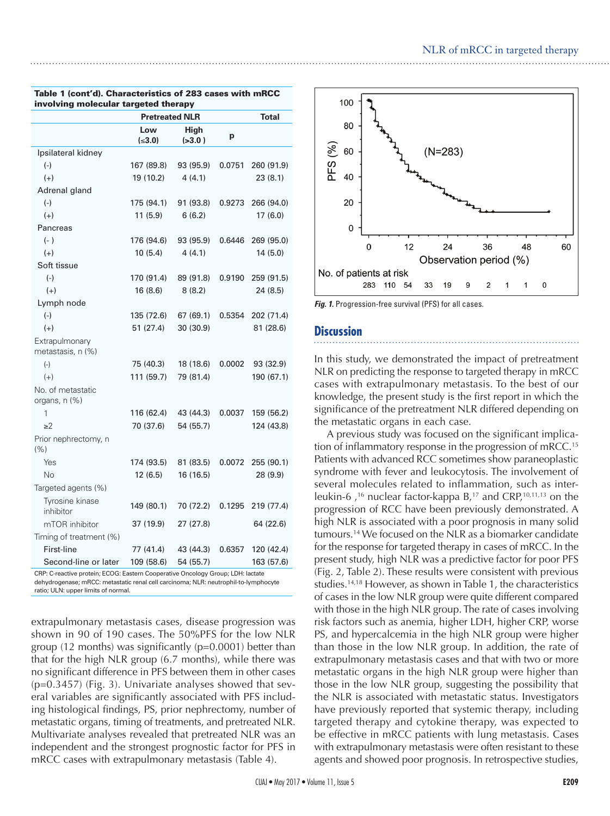| involving molecular targeted therapy                                            |                       |                         |        |              |  |  |
|---------------------------------------------------------------------------------|-----------------------|-------------------------|--------|--------------|--|--|
|                                                                                 | <b>Pretreated NLR</b> |                         |        | <b>Total</b> |  |  |
|                                                                                 | Low<br>$(\leq 3.0)$   | <b>High</b><br>$(-3.0)$ | p      |              |  |  |
| Ipsilateral kidney                                                              |                       |                         |        |              |  |  |
| $(-)$                                                                           | 167 (89.8)            | 93 (95.9)               | 0.0751 | 260 (91.9)   |  |  |
| $(+)$                                                                           | 19 (10.2)             | 4(4.1)                  |        | 23 (8.1)     |  |  |
| Adrenal gland                                                                   |                       |                         |        |              |  |  |
| $(-)$                                                                           | 175 (94.1)            | 91 (93.8)               | 0.9273 | 266 (94.0)   |  |  |
| $(+)$                                                                           | 11(5.9)               | 6(6.2)                  |        | 17(6.0)      |  |  |
| Pancreas                                                                        |                       |                         |        |              |  |  |
| $(-)$                                                                           | 176 (94.6)            | 93 (95.9)               | 0.6446 | 269 (95.0)   |  |  |
| $(+)$                                                                           | 10(5.4)               | 4(4.1)                  |        | 14 (5.0)     |  |  |
| Soft tissue                                                                     |                       |                         |        |              |  |  |
| $(-)$                                                                           | 170 (91.4)            | 89 (91.8)               | 0.9190 | 259 (91.5)   |  |  |
| $(+)$                                                                           | 16(8.6)               | 8(8.2)                  |        | 24 (8.5)     |  |  |
| Lymph node                                                                      |                       |                         |        |              |  |  |
| $(-)$                                                                           | 135 (72.6)            | 67 (69.1)               | 0.5354 | 202 (71.4)   |  |  |
| $(+)$                                                                           | 51 (27.4)             | 30(30.9)                |        | 81 (28.6)    |  |  |
| Extrapulmonary                                                                  |                       |                         |        |              |  |  |
| metastasis, n (%)                                                               |                       |                         |        |              |  |  |
| $(-)$                                                                           | 75 (40.3)             | 18 (18.6)               | 0.0002 | 93 (32.9)    |  |  |
| $(+)$                                                                           | 111 (59.7)            | 79 (81.4)               |        | 190 (67.1)   |  |  |
| No. of metastatic<br>organs, n (%)                                              |                       |                         |        |              |  |  |
| 1                                                                               | 116 (62.4)            | 43 (44.3)               | 0.0037 | 159 (56.2)   |  |  |
| $\geq$ 2                                                                        | 70 (37.6)             | 54 (55.7)               |        | 124 (43.8)   |  |  |
| Prior nephrectomy, n                                                            |                       |                         |        |              |  |  |
| (%)                                                                             |                       |                         |        |              |  |  |
| Yes                                                                             | 174 (93.5)            | 81 (83.5)               | 0.0072 | 255 (90.1)   |  |  |
| <b>No</b>                                                                       | 12(6.5)               | 16 (16.5)               |        | 28 (9.9)     |  |  |
| Targeted agents (%)                                                             |                       |                         |        |              |  |  |
| Tyrosine kinase<br>inhibitor                                                    | 149 (80.1)            | 70 (72.2)               | 0.1295 | 219 (77.4)   |  |  |
| mTOR inhibitor                                                                  | 37 (19.9)             | 27(27.8)                |        | 64 (22.6)    |  |  |
| Timing of treatment (%)                                                         |                       |                         |        |              |  |  |
| First-line                                                                      | 77 (41.4)             | 43 (44.3)               | 0.6357 | 120 (42.4)   |  |  |
| Second-line or later                                                            | 109 (58.6)            | 54 (55.7)               |        | 163 (57.6)   |  |  |
| CRP: C-reactive protein; ECOG: Eastern Cooperative Oncology Group; LDH: lactate |                       |                         |        |              |  |  |

Table 1 (cont'd). Characteristics of 283 cases with mRCC

dehydrogenase; mRCC: metastatic renal cell carcinoma; NLR: neutrophil-to-lymphocyte ratio; ULN: upper limits of normal.

extrapulmonary metastasis cases, disease progression was shown in 90 of 190 cases. The 50%PFS for the low NLR group (12 months) was significantly (p=0.0001) better than that for the high NLR group (6.7 months), while there was no significant difference in PFS between them in other cases (p=0.3457) (Fig. 3). Univariate analyses showed that several variables are significantly associated with PFS including histological findings, PS, prior nephrectomy, number of metastatic organs, timing of treatments, and pretreated NLR. Multivariate analyses revealed that pretreated NLR was an independent and the strongest prognostic factor for PFS in mRCC cases with extrapulmonary metastasis (Table 4).



*Fig. 1.* Progression-free survival (PFS) for all cases.

#### **Discussion**

In this study, we demonstrated the impact of pretreatment NLR on predicting the response to targeted therapy in mRCC cases with extrapulmonary metastasis. To the best of our knowledge, the present study is the first report in which the significance of the pretreatment NLR differed depending on the metastatic organs in each case.

A previous study was focused on the significant implication of inflammatory response in the progression of mRCC.15 Patients with advanced RCC sometimes show paraneoplastic syndrome with fever and leukocytosis. The involvement of several molecules related to inflammation, such as interleukin-6 ,16 nuclear factor-kappa B,17 and CRP,10,11,13 on the progression of RCC have been previously demonstrated. A high NLR is associated with a poor prognosis in many solid tumours.14 We focused on the NLR as a biomarker candidate for the response for targeted therapy in cases of mRCC. In the present study, high NLR was a predictive factor for poor PFS (Fig. 2, Table 2). These results were consistent with previous studies.14,18 However, as shown in Table 1, the characteristics of cases in the low NLR group were quite different compared with those in the high NLR group. The rate of cases involving risk factors such as anemia, higher LDH, higher CRP, worse PS, and hypercalcemia in the high NLR group were higher than those in the low NLR group. In addition, the rate of extrapulmonary metastasis cases and that with two or more metastatic organs in the high NLR group were higher than those in the low NLR group, suggesting the possibility that the NLR is associated with metastatic status. Investigators have previously reported that systemic therapy, including targeted therapy and cytokine therapy, was expected to be effective in mRCC patients with lung metastasis. Cases with extrapulmonary metastasis were often resistant to these agents and showed poor prognosis. In retrospective studies,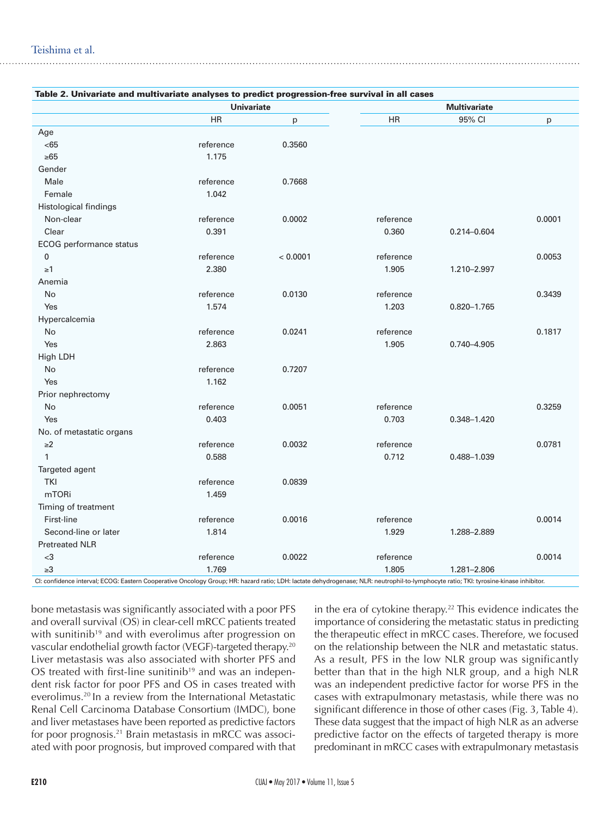|                          | ranate analyses to preulet progression-nee<br><b>Univariate</b> |          | <b>Multivariate</b> |                     |        |
|--------------------------|-----------------------------------------------------------------|----------|---------------------|---------------------|--------|
|                          | HR                                                              | p        | HR                  | 95% CI              | p      |
| Age                      |                                                                 |          |                     |                     |        |
| <65                      | reference                                                       | 0.3560   |                     |                     |        |
| $\geq 65$                | 1.175                                                           |          |                     |                     |        |
| Gender                   |                                                                 |          |                     |                     |        |
| Male                     | reference                                                       | 0.7668   |                     |                     |        |
| Female                   | 1.042                                                           |          |                     |                     |        |
| Histological findings    |                                                                 |          |                     |                     |        |
| Non-clear                | reference                                                       | 0.0002   | reference           |                     | 0.0001 |
| Clear                    | 0.391                                                           |          | 0.360               | 0.214-0.604         |        |
| ECOG performance status  |                                                                 |          |                     |                     |        |
| $\mathbf 0$              | reference                                                       | < 0.0001 | reference           |                     | 0.0053 |
| $\geq 1$                 | 2.380                                                           |          | 1.905               | 1.210-2.997         |        |
| Anemia                   |                                                                 |          |                     |                     |        |
| No                       | reference                                                       | 0.0130   | reference           |                     | 0.3439 |
| Yes                      | 1.574                                                           |          | 1.203               | $0.820 - 1.765$     |        |
| Hypercalcemia            |                                                                 |          |                     |                     |        |
| No                       | reference                                                       | 0.0241   | reference           |                     | 0.1817 |
| Yes                      | 2.863                                                           |          | 1.905               | 0.740-4.905         |        |
| High LDH                 |                                                                 |          |                     |                     |        |
| No                       | reference                                                       | 0.7207   |                     |                     |        |
| Yes                      | 1.162                                                           |          |                     |                     |        |
| Prior nephrectomy        |                                                                 |          |                     |                     |        |
| <b>No</b>                | reference                                                       | 0.0051   | reference           |                     | 0.3259 |
| Yes                      | 0.403                                                           |          | 0.703               | 0.348-1.420         |        |
| No. of metastatic organs |                                                                 |          |                     |                     |        |
| $\geq$ 2                 | reference                                                       | 0.0032   | reference           |                     | 0.0781 |
| $\mathbf{1}$             | 0.588                                                           |          | 0.712               | 0.488-1.039         |        |
| Targeted agent           |                                                                 |          |                     |                     |        |
| <b>TKI</b>               | reference                                                       | 0.0839   |                     |                     |        |
| mTORi                    | 1.459                                                           |          |                     |                     |        |
| Timing of treatment      |                                                                 |          |                     |                     |        |
| First-line               | reference                                                       | 0.0016   | reference           |                     | 0.0014 |
| Second-line or later     | 1.814                                                           |          | 1.929               | 1.288-2.889         |        |
| <b>Pretreated NLR</b>    |                                                                 |          |                     |                     |        |
| $<3\,$                   | reference                                                       | 0.0022   | reference           |                     | 0.0014 |
| $\geq 3$                 | 1.769                                                           | 1.711.1  | 1.805               | 1.281-2.806<br>$-1$ |        |

#### Table 2. Univariate and multivariate analyses to predict progression-free survival in all cases

CI: confidence interval; ECOG: Eastern Cooperative Oncology Group; HR: hazard ratio; LDH: lactate dehydrogenase; NLR: neutrophil-to-lymphocyte ratio; TKI: tyrosine-kinase inhibitor.

bone metastasis was significantly associated with a poor PFS and overall survival (OS) in clear-cell mRCC patients treated with sunitinib<sup>19</sup> and with everolimus after progression on vascular endothelial growth factor (VEGF)-targeted therapy.20 Liver metastasis was also associated with shorter PFS and OS treated with first-line sunitinib<sup>19</sup> and was an independent risk factor for poor PFS and OS in cases treated with everolimus.20 In a review from the International Metastatic Renal Cell Carcinoma Database Consortium (IMDC), bone and liver metastases have been reported as predictive factors for poor prognosis.<sup>21</sup> Brain metastasis in mRCC was associated with poor prognosis, but improved compared with that

in the era of cytokine therapy.<sup>22</sup> This evidence indicates the importance of considering the metastatic status in predicting the therapeutic effect in mRCC cases. Therefore, we focused on the relationship between the NLR and metastatic status. As a result, PFS in the low NLR group was significantly better than that in the high NLR group, and a high NLR was an independent predictive factor for worse PFS in the cases with extrapulmonary metastasis, while there was no significant difference in those of other cases (Fig. 3, Table 4). These data suggest that the impact of high NLR as an adverse predictive factor on the effects of targeted therapy is more predominant in mRCC cases with extrapulmonary metastasis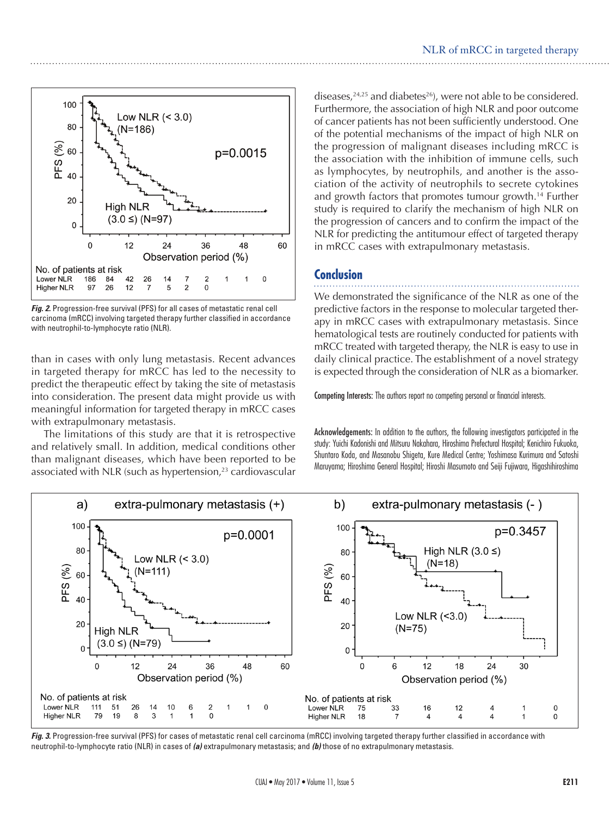

*Fig. 2.* Progression-free survival (PFS) for all cases of metastatic renal cell carcinoma (mRCC) involving targeted therapy further classified in accordance with neutrophil-to-lymphocyte ratio (NLR).

than in cases with only lung metastasis. Recent advances in targeted therapy for mRCC has led to the necessity to predict the therapeutic effect by taking the site of metastasis into consideration. The present data might provide us with meaningful information for targeted therapy in mRCC cases with extrapulmonary metastasis.

The limitations of this study are that it is retrospective and relatively small. In addition, medical conditions other than malignant diseases, which have been reported to be associated with NLR (such as hypertension, $23$  cardiovascular

diseases,  $24,25$  and diabetes<sup>26</sup>), were not able to be considered. Furthermore, the association of high NLR and poor outcome of cancer patients has not been sufficiently understood. One of the potential mechanisms of the impact of high NLR on the progression of malignant diseases including mRCC is the association with the inhibition of immune cells, such as lymphocytes, by neutrophils, and another is the association of the activity of neutrophils to secrete cytokines and growth factors that promotes tumour growth.14 Further study is required to clarify the mechanism of high NLR on the progression of cancers and to confirm the impact of the NLR for predicting the antitumour effect of targeted therapy in mRCC cases with extrapulmonary metastasis.

## **Conclusion**

We demonstrated the significance of the NLR as one of the predictive factors in the response to molecular targeted therapy in mRCC cases with extrapulmonary metastasis. Since hematological tests are routinely conducted for patients with mRCC treated with targeted therapy, the NLR is easy to use in daily clinical practice. The establishment of a novel strategy is expected through the consideration of NLR as a biomarker.

Competing Interests: The authors report no competing personal or financial interests.

Acknowledgements: In addition to the authors, the following investigators participated in the study: Yuichi Kadonishi and Mitsuru Nakahara, Hiroshima Prefectural Hospital; Kenichiro Fukuoka, Shuntaro Koda, and Masanobu Shigeta, Kure Medical Centre; Yoshimasa Kurimura and Satoshi Maruyama; Hiroshima General Hospital; Hiroshi Masumoto and Seiji Fujiwara, Higashihiroshima



Fig. 3. Progression-free survival (PFS) for cases of metastatic renal cell carcinoma (mRCC) involving targeted therapy further classified in accordance with neutrophil-to-lymphocyte ratio (NLR) in cases of *(a)* extrapulmonary metastasis; and *(b)* those of no extrapulmonary metastasis.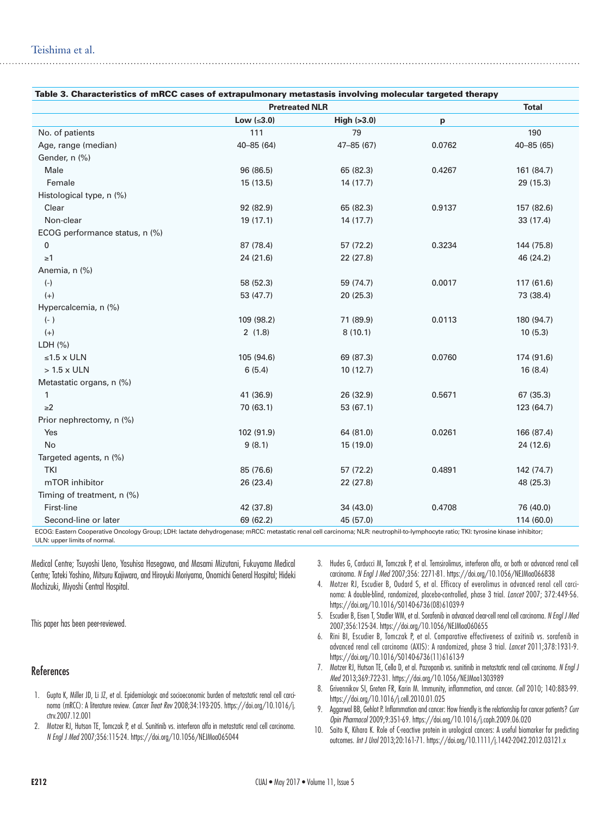| Table 3. Characteristics of mRCC cases of extrapulmonary metastasis involving molecular targeted therapy |                       |               |                           |               |  |
|----------------------------------------------------------------------------------------------------------|-----------------------|---------------|---------------------------|---------------|--|
|                                                                                                          | <b>Pretreated NLR</b> |               |                           | <b>Total</b>  |  |
|                                                                                                          | Low $(\leq 3.0)$      | High $(>3.0)$ | $\boldsymbol{\mathsf{p}}$ |               |  |
| No. of patients                                                                                          | 111                   | 79            |                           | 190           |  |
| Age, range (median)                                                                                      | $40 - 85(64)$         | $47 - 85(67)$ | 0.0762                    | $40 - 85(65)$ |  |
| Gender, n (%)                                                                                            |                       |               |                           |               |  |
| Male                                                                                                     | 96 (86.5)             | 65 (82.3)     | 0.4267                    | 161 (84.7)    |  |
| Female                                                                                                   | 15(13.5)              | 14(17.7)      |                           | 29(15.3)      |  |
| Histological type, n (%)                                                                                 |                       |               |                           |               |  |
| Clear                                                                                                    | 92 (82.9)             | 65 (82.3)     | 0.9137                    | 157 (82.6)    |  |
| Non-clear                                                                                                | 19(17.1)              | 14(17.7)      |                           | 33(17.4)      |  |
| ECOG performance status, n (%)                                                                           |                       |               |                           |               |  |
| 0                                                                                                        | 87 (78.4)             | 57 (72.2)     | 0.3234                    | 144 (75.8)    |  |
| $\geq 1$                                                                                                 | 24(21.6)              | 22(27.8)      |                           | 46 (24.2)     |  |
| Anemia, n (%)                                                                                            |                       |               |                           |               |  |
| $(-)$                                                                                                    | 58 (52.3)             | 59 (74.7)     | 0.0017                    | 117 (61.6)    |  |
| $(+)$                                                                                                    | 53 (47.7)             | 20(25.3)      |                           | 73 (38.4)     |  |
| Hypercalcemia, n (%)                                                                                     |                       |               |                           |               |  |
| $(-)$                                                                                                    | 109 (98.2)            | 71 (89.9)     | 0.0113                    | 180 (94.7)    |  |
| $(+)$                                                                                                    | 2(1.8)                | 8(10.1)       |                           | 10(5.3)       |  |
| LDH(%)                                                                                                   |                       |               |                           |               |  |
| ≤1.5 $\times$ ULN                                                                                        | 105 (94.6)            | 69 (87.3)     | 0.0760                    | 174 (91.6)    |  |
| $>1.5 \times ULN$                                                                                        | 6(5.4)                | 10 (12.7)     |                           | 16(8.4)       |  |
| Metastatic organs, n (%)                                                                                 |                       |               |                           |               |  |
| 1                                                                                                        | 41 (36.9)             | 26 (32.9)     | 0.5671                    | 67 (35.3)     |  |
| $\geq$ 2                                                                                                 | 70 (63.1)             | 53(67.1)      |                           | 123 (64.7)    |  |
| Prior nephrectomy, n (%)                                                                                 |                       |               |                           |               |  |
| Yes                                                                                                      | 102 (91.9)            | 64 (81.0)     | 0.0261                    | 166 (87.4)    |  |
| <b>No</b>                                                                                                | 9(8.1)                | 15 (19.0)     |                           | 24 (12.6)     |  |
| Targeted agents, n (%)                                                                                   |                       |               |                           |               |  |
| <b>TKI</b>                                                                                               | 85 (76.6)             | 57 (72.2)     | 0.4891                    | 142 (74.7)    |  |
| mTOR inhibitor                                                                                           | 26 (23.4)             | 22 (27.8)     |                           | 48 (25.3)     |  |
| Timing of treatment, n (%)                                                                               |                       |               |                           |               |  |
| First-line                                                                                               | 42 (37.8)             | 34 (43.0)     | 0.4708                    | 76 (40.0)     |  |
| Second-line or later                                                                                     | 69 (62.2)             | 45 (57.0)     |                           | 114 (60.0)    |  |

ECOG: Eastern Cooperative Oncology Group; LDH: lactate dehydrogenase; mRCC: metastatic renal cell carcinoma; NLR: neutrophil-to-lymphocyte ratio; TKI: tyrosine kinase inhibitor; ULN: upper limits of normal.

Medical Centre; Tsuyoshi Ueno, Yasuhisa Hasegawa, and Masami Mizutani, Fukuyama Medical Centre; Tateki Yoshino, Mitsuru Kajiwara, and Hiroyuki Moriyama, Onomichi General Hospital; Hideki Mochizuki, Miyoshi Central Hospital.

This paper has been peer-reviewed.

### References

- 1. Gupta K, Miller JD, Li JZ, et al. Epidemiologic and socioeconomic burden of metastatic renal cell carcinoma (mRCC): A literature review. *Cancer Treat Rev* 2008;34:193-205. https://doi.org/10.1016/j. ctrv.2007.12.001
- 2. Motzer RJ, Hutson TE, Tomczak P, et al. Sunitinib vs. interferon alfa in metastatic renal cell carcinoma. *N Engl J Med* 2007;356:115-24. https://doi.org/10.1056/NEJMoa065044
- 3. Hudes G, Carducci M, Tomczak P, et al. Temsirolimus, interferon alfa, or both or advanced renal cell carcinoma. *N Engl J Med* 2007;356: 2271-81. https://doi.org/10.1056/NEJMoa066838
- 4. Motzer RJ, Escudier B, Oudard S, et al. Efficacy of everolimus in advanced renal cell carcinoma: A double-blind, randomized, placebo-controlled, phase 3 trial. *Lancet* 2007; 372:449-56. https://doi.org/10.1016/S0140-6736(08)61039-9
- 5. Escudier B, Eisen T, Stadler WM, et al. Sorafenib in advanced clear-cell renal cell carcinoma. *N Engl J Med* 2007;356:125-34. https://doi.org/10.1056/NEJMoa060655
- 6. Rini BI, Escudier B, Tomczak P, et al. Comparative effectiveness of axitinib vs. sorafenib in advanced renal cell carcinoma (AXIS): A randomized, phase 3 trial. *Lancet* 2011;378:1931-9. https://doi.org/10.1016/S0140-6736(11)61613-9
- 7. Motzer RJ, Hutson TE, Cella D, et al. Pazopanib vs. sunitinib in metastatic renal cell carcinoma. *N Engl J Med* 2013;369:722-31. https://doi.org/10.1056/NEJMoa1303989
- 8. Grivennikov SI, Greten FR, Karin M. Immunity, inflammation, and cancer. *Cell* 2010; 140:883-99. https://doi.org/10.1016/j.cell.2010.01.025
- 9. Aggarwal BB, Gehlot P. Inflammation and cancer: How friendly is the relationship for cancer patients? *Curr Opin Pharmacol* 2009;9:351-69. https://doi.org/10.1016/j.coph.2009.06.020
- 10. Saito K, Kihara K. Role of C-reactive protein in urological cancers: A useful biomarker for predicting outcomes. *Int J Urol* 2013;20:161-71. https://doi.org/10.1111/j.1442-2042.2012.03121.x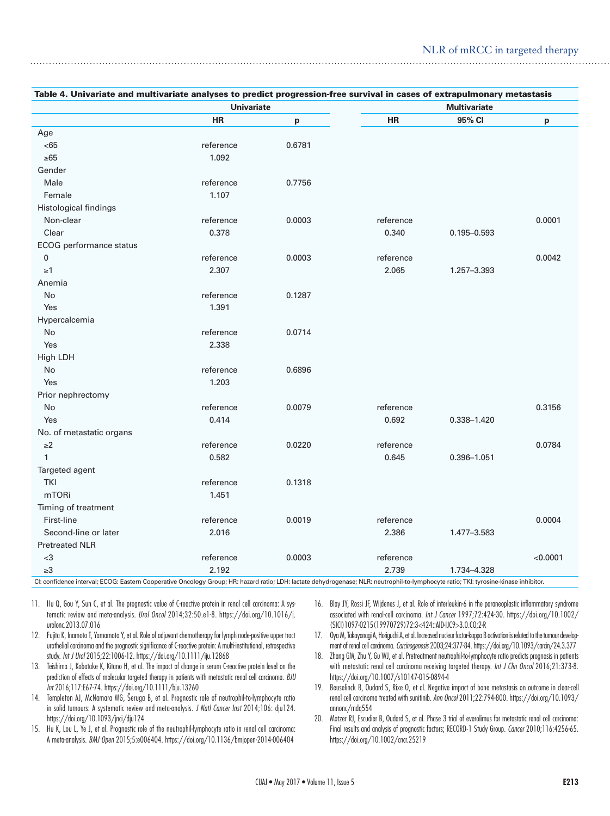|                          | anate analyses to preuiut progression-nee sui<br><b>Univariate</b> |                           | cases or extrapulmonary metastasis<br><b>Multivariate</b> |                 |          |
|--------------------------|--------------------------------------------------------------------|---------------------------|-----------------------------------------------------------|-----------------|----------|
|                          | HR                                                                 | $\boldsymbol{\mathsf{p}}$ | HR                                                        | 95% CI          | p        |
| Age                      |                                                                    |                           |                                                           |                 |          |
| $< 65$                   | reference                                                          | 0.6781                    |                                                           |                 |          |
| $\geq 65$                | 1.092                                                              |                           |                                                           |                 |          |
| Gender                   |                                                                    |                           |                                                           |                 |          |
| Male                     | reference                                                          | 0.7756                    |                                                           |                 |          |
| Female                   | 1.107                                                              |                           |                                                           |                 |          |
| Histological findings    |                                                                    |                           |                                                           |                 |          |
| Non-clear                | reference                                                          | 0.0003                    | reference                                                 |                 | 0.0001   |
| Clear                    | 0.378                                                              |                           | 0.340                                                     | $0.195 - 0.593$ |          |
| ECOG performance status  |                                                                    |                           |                                                           |                 |          |
| 0                        | reference                                                          | 0.0003                    | reference                                                 |                 | 0.0042   |
| $\geq 1$                 | 2.307                                                              |                           | 2.065                                                     | 1.257-3.393     |          |
| Anemia                   |                                                                    |                           |                                                           |                 |          |
| No                       | reference                                                          | 0.1287                    |                                                           |                 |          |
| Yes                      | 1.391                                                              |                           |                                                           |                 |          |
| Hypercalcemia            |                                                                    |                           |                                                           |                 |          |
| No                       | reference                                                          | 0.0714                    |                                                           |                 |          |
| Yes                      | 2.338                                                              |                           |                                                           |                 |          |
| High LDH                 |                                                                    |                           |                                                           |                 |          |
| No                       | reference                                                          | 0.6896                    |                                                           |                 |          |
| Yes                      | 1.203                                                              |                           |                                                           |                 |          |
| Prior nephrectomy        |                                                                    |                           |                                                           |                 |          |
| No                       | reference                                                          | 0.0079                    | reference                                                 |                 | 0.3156   |
| Yes                      | 0.414                                                              |                           | 0.692                                                     | 0.338-1.420     |          |
| No. of metastatic organs |                                                                    |                           |                                                           |                 |          |
| $\geq$ 2                 | reference                                                          | 0.0220                    | reference                                                 |                 | 0.0784   |
| $\mathbf{1}$             | 0.582                                                              |                           | 0.645                                                     | 0.396-1.051     |          |
| Targeted agent           |                                                                    |                           |                                                           |                 |          |
| <b>TKI</b>               | reference                                                          | 0.1318                    |                                                           |                 |          |
| mTORi                    | 1.451                                                              |                           |                                                           |                 |          |
| Timing of treatment      |                                                                    |                           |                                                           |                 |          |
| First-line               | reference                                                          | 0.0019                    | reference                                                 |                 | 0.0004   |
| Second-line or later     | 2.016                                                              |                           | 2.386                                                     | 1.477-3.583     |          |
| <b>Pretreated NLR</b>    |                                                                    |                           |                                                           |                 |          |
| $3$                      | reference                                                          | 0.0003                    | reference                                                 |                 | < 0.0001 |
| $\geq 3$                 | 2.192                                                              |                           | 2.739                                                     | 1.734-4.328     |          |

## Table 4. Univariate and multivariate analyses to predict progression-free survival in cases of extrapulmonary metastasis

CI: confidence interval; ECOG: Eastern Cooperative Oncology Group; HR: hazard ratio; LDH: lactate dehydrogenase; NLR: neutrophil-to-lymphocyte ratio; TKI: tyrosine-kinase inhibitor.

11. Hu Q, Gou Y, Sun C, et al. The prognostic value of C-reactive protein in renal cell carcinoma: A systematic review and meta-analysis. *Urol Oncol* 2014;32:50.e1-8. https://doi.org/10.1016/j. urolonc.2013.07.016

- 12. Fujita K, Inamoto T, Yamamoto Y, et al. Role of adjuvant chemotherapy for lymph node-positive upper tract urothelial carcinoma and the prognostic significance of C-reactive protein: A multi-institutional, retrospective study. *Int J Urol* 2015;22:1006-12. https://doi.org/10.1111/iju.12868
- 13. Teishima J, Kobatake K, Kitano H, et al. The impact of change in serum C-reactive protein level on the prediction of effects of molecular targeted therapy in patients with metastatic renal cell carcinoma. *BJU Int* 2016;117:E67-74. https://doi.org/10.1111/bju.13260
- 14. Templeton AJ, McNamara MG, Šeruga B, et al. Prognostic role of neutrophil-to-lymphocyte ratio in solid tumours: A systematic review and meta-analysis. *J Natl Cancer Inst* 2014;106: dju124. https://doi.org/10.1093/jnci/dju124
- 15. Hu K, Lou L, Ye J, et al. Prognostic role of the neutrophil-lymphocyte ratio in renal cell carcinoma: A meta-analysis. *BMJ Open* 2015;5:e006404. https://doi.org/10.1136/bmjopen-2014-006404

16. Blay JY, Rossi JF, Wijdenes J, et al. Role of interleukin-6 in the paraneoplastic inflammatory syndrome associated with renal-cell carcinoma. *Int J Cancer* 1997;72:424-30. https://doi.org/10.1002/ (SICI)1097-0215(19970729)72:3<424::AID-IJC9>3.0.CO;2-R

- 17. Oya M, Takayanagi A, Horiguchi A, et al. Increased nuclear factor-kappa B activation is related to the tumour development of renal cell carcinoma. *Carcinogenesis* 2003;24:377-84. https://doi.org/10.1093/carcin/24.3.377
- 18. Zhang GM, Zhu Y, Gu WJ, et al. Pretreatment neutrophil-to-lymphocyte ratio predicts prognosis in patients with metastatic renal cell carcinoma receiving targeted therapy. *Int J Clin Oncol* 2016;21:373-8. https://doi.org/10.1007/s10147-015-0894-4
- 19. Beuselinck B, Oudard S, Rixe O, et al. Negative impact of bone metastasis on outcome in clear-cell renal cell carcinoma treated with sunitinib. *Ann Oncol* 2011;22:794-800. https://doi.org/10.1093/ annonc/mdq554
- 20. Motzer RJ, Escudier B, Oudard S, et al. Phase 3 trial of everolimus for metastatic renal cell carcinoma: Final results and analysis of prognostic factors; RECORD‐1 Study Group. *Cancer* 2010;116:4256-65. https://doi.org/10.1002/cncr.25219